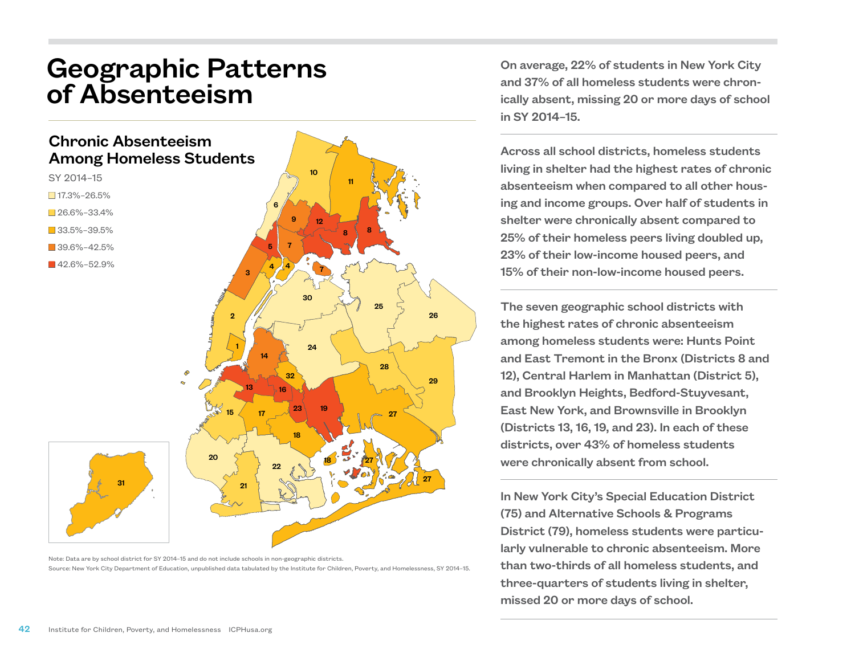## Geographic Patterns of Absenteeism

## Chronic Absenteeism Among Homeless Students



- $\square$  17.3%–26.5%
- $26.6\% 33.4\%$
- **3**3.5%–39.5%
- $-39.6\% 42.5\%$
- $142.6\% 52.9\%$



Note: Data are by school district for SY 2014–15 and do not include schools in non-geographic districts. Source: New York City Department of Education, unpublished data tabulated by the Institute for Children, Poverty, and Homelessness, SY 2014–15.

On average, 22% of students in New York City and 37% of all homeless students were chronically absent, missing 20 or more days of school in SY 2014–15.

Across all school districts, homeless students living in shelter had the highest rates of chronic absenteeism when compared to all other housing and income groups. Over half of students in shelter were chronically absent compared to 25% of their homeless peers living doubled up, 23% of their low-income housed peers, and 15% of their non-low-income housed peers.

The seven geographic school districts with the highest rates of chronic absenteeism among homeless students were: Hunts Point and East Tremont in the Bronx (Districts 8 and 12), Central Harlem in Manhattan (District 5), and Brooklyn Heights, Bedford-Stuyvesant, East New York, and Brownsville in Brooklyn (Districts 13, 16, 19, and 23). In each of these districts, over 43% of homeless students were chronically absent from school.

In New York City's Special Education District (75) and Alternative Schools & Programs District (79), homeless students were particularly vulnerable to chronic absenteeism. More than two-thirds of all homeless students, and three-quarters of students living in shelter, missed 20 or more days of school.